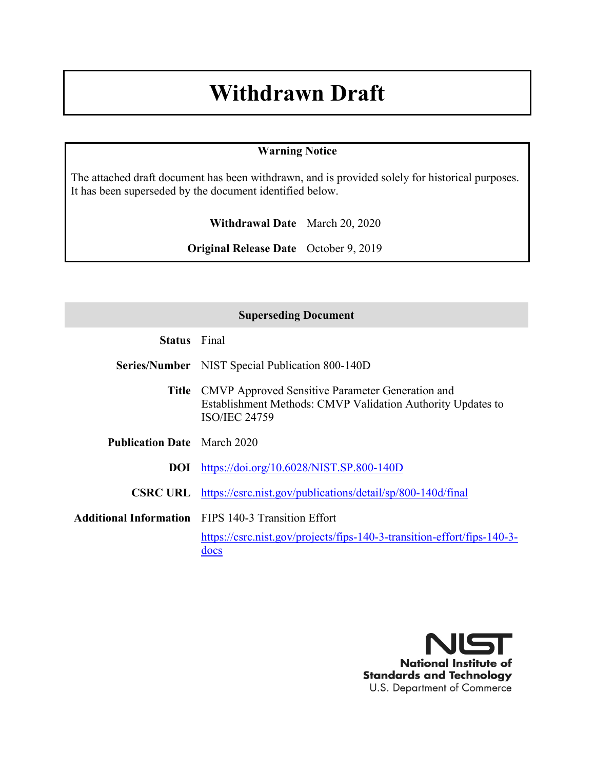## **Withdrawn Draft**

#### **Warning Notice**

The attached draft document has been withdrawn, and is provided solely for historical purposes. It has been superseded by the document identified below.

**Withdrawal Date** March 20, 2020

**Original Release Date** October 9, 2019

| <b>Superseding Document</b>        |                                                                                                                                                      |  |
|------------------------------------|------------------------------------------------------------------------------------------------------------------------------------------------------|--|
| <b>Status</b> Final                |                                                                                                                                                      |  |
|                                    | <b>Series/Number</b> NIST Special Publication 800-140D                                                                                               |  |
|                                    | <b>Title</b> CMVP Approved Sensitive Parameter Generation and<br>Establishment Methods: CMVP Validation Authority Updates to<br><b>ISO/IEC 24759</b> |  |
| <b>Publication Date</b> March 2020 |                                                                                                                                                      |  |
|                                    | <b>DOI</b> https://doi.org/10.6028/NIST.SP.800-140D                                                                                                  |  |
|                                    | <b>CSRC URL</b> https://csrc.nist.gov/publications/detail/sp/800-140d/final                                                                          |  |
|                                    | <b>Additional Information</b> FIPS 140-3 Transition Effort                                                                                           |  |
|                                    | https://csrc.nist.gov/projects/fips-140-3-transition-effort/fips-140-3-<br>docs                                                                      |  |

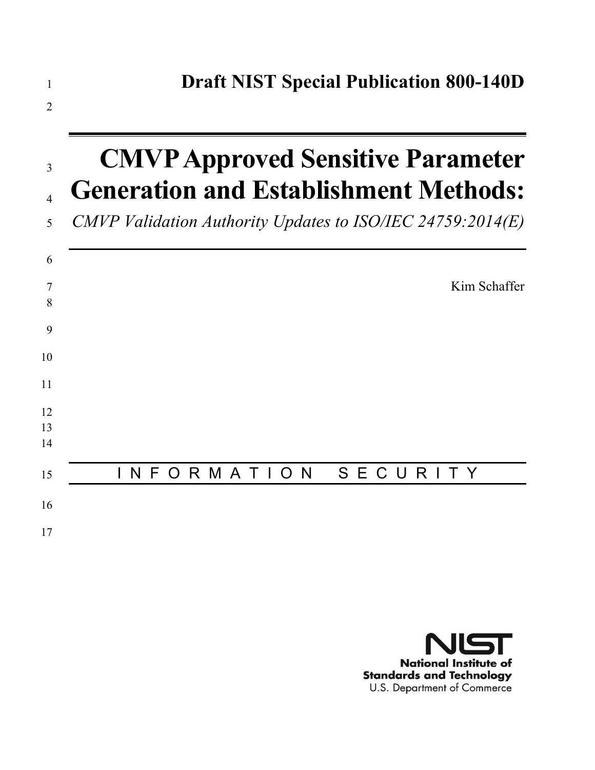

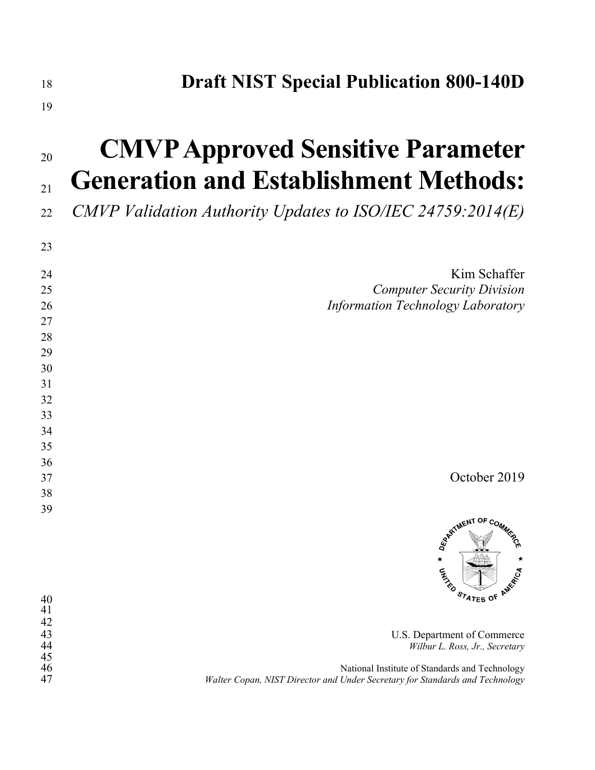| 18 | <b>Draft NIST Special Publication 800-140D</b> |  |
|----|------------------------------------------------|--|
|----|------------------------------------------------|--|

#### 

# **CMVP Approved Sensitive Parameter Generation and Establishment Methods:**

*CMVP Validation Authority Updates to ISO/IEC 24759:2014(E)*

|                                                                           | 23     |
|---------------------------------------------------------------------------|--------|
| Kim Schaffer                                                              | 24     |
| <b>Computer Security Division</b>                                         | 25     |
| Information Technology Laboratory                                         | 26     |
|                                                                           | $27\,$ |
|                                                                           | 28     |
|                                                                           | 29     |
|                                                                           | 30     |
|                                                                           | 31     |
|                                                                           | 32     |
|                                                                           | 33     |
|                                                                           | 34     |
|                                                                           | 35     |
|                                                                           | 36     |
| October 2019                                                              | 37     |
|                                                                           | 38     |
|                                                                           | 39     |
| <b>SPRETMENT OF COMMISSION</b><br>$\star$<br>$\star$<br><b>AN</b><br>PICA |        |

| 40 | <b>STATES OF AMY</b>                                                         |
|----|------------------------------------------------------------------------------|
| 41 |                                                                              |
| 42 |                                                                              |
| 43 | U.S. Department of Commerce                                                  |
| 44 | Wilbur L. Ross, Jr., Secretary                                               |
| 45 |                                                                              |
| 46 | National Institute of Standards and Technology                               |
| 47 | Walter Copan, NIST Director and Under Secretary for Standards and Technology |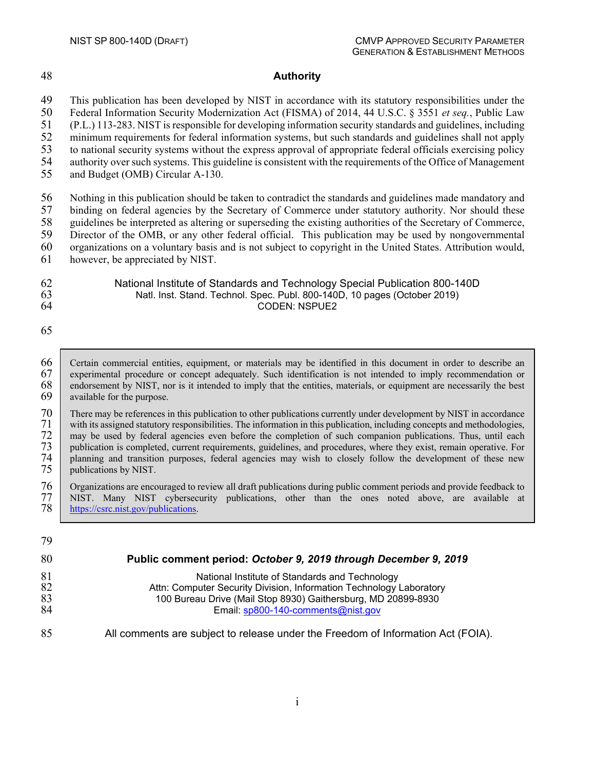#### 48 **Authority**

49 This publication has been developed by NIST in accordance with its statutory responsibilities under the 50 Federal Information Security Modernization Act (FISMA) of 2014, 44 U.S.C. § 3551 *et seq.*, Public Law

50 Federal Information Security Modernization Act (FISMA) of 2014, 44 U.S.C. § 3551 *et seq.*, Public Law 51 (P.L.) 113-283. NIST is responsible for developing information security standards and guidelines, including

52 minimum requirements for federal information systems, but such standards and guidelines shall not apply

53 to national security systems without the express approval of appropriate federal officials exercising policy<br>54 authority over such systems. This guideline is consistent with the requirements of the Office of Management 54 authority over such systems. This guideline is consistent with the requirements of the Office of Management

55 and Budget (OMB) Circular A-130.

56 Nothing in this publication should be taken to contradict the standards and guidelines made mandatory and<br>57 binding on federal agencies by the Secretary of Commerce under statutory authority. Nor should these 57 binding on federal agencies by the Secretary of Commerce under statutory authority. Nor should these guidelines be interpreted as altering or superseding the existing authorities of the Secretary of Commerce, guidelines be interpreted as altering or superseding the existing authorities of the Secretary of Commerce, Director of the OMB, or any other federal official. This publication may be used by nongovernmental organizations on a voluntary basis and is not subject to copyright in the United States. Attribution would, however, be appreciated by NIST.

62 National Institute of Standards and Technology Special Publication 800-140D

63 Natl. Inst. Stand. Technol. Spec. Publ. 800-140D, 10 pages (October 2019)

65

66 Certain commercial entities, equipment, or materials may be identified in this document in order to describe an experimental procedure or concept adequately. Such identification is not intended to imply recommendation o 67 experimental procedure or concept adequately. Such identification is not intended to imply recommendation or endorsement by NIST, nor is it intended to imply that the entities, materials, or equipment are necessarily th 68 endorsement by NIST, nor is it intended to imply that the entities, materials, or equipment are necessarily the best available for the purpose. available for the purpose.

CODEN: NSPUE2

70 There may be references in this publication to other publications currently under development by NIST in accordance with its assigned statutory responsibilities. The information in this publication, including concepts a 71 with its assigned statutory responsibilities. The information in this publication, including concepts and methodologies,<br>72 may be used by federal agencies even before the completion of such companion publications. Thus T2 may be used by federal agencies even before the completion of such companion publications. Thus, until each publication is completed, current requirements, guidelines, and procedures, where they exist, remain operative. 73 publication is completed, current requirements, guidelines, and procedures, where they exist, remain operative. For 74 planning and transition purposes, federal agencies may wish to closely follow the development of these new publications by NIST.

76 Organizations are encouraged to review all draft publications during public comment periods and provide feedback to 77 NIST. Many NIST cybersecurity publications, other than the ones noted above, are available at 77 NIST. Many NIST cybersecurity publications, other than the ones noted above, are available at https://csrc.nist.gov/publications. [https://csrc.nist.gov/publications.](https://csrc.nist.gov/publications)

| 79 |                                                                                  |
|----|----------------------------------------------------------------------------------|
| 80 | Public comment period: October 9, 2019 through December 9, 2019                  |
| 81 | National Institute of Standards and Technology                                   |
| 82 | Attn: Computer Security Division, Information Technology Laboratory              |
| 83 | 100 Bureau Drive (Mail Stop 8930) Gaithersburg, MD 20899-8930                    |
| 84 | Email: sp800-140-comments@nist.gov                                               |
| 85 | All comments are subject to release under the Freedom of Information Act (FOIA). |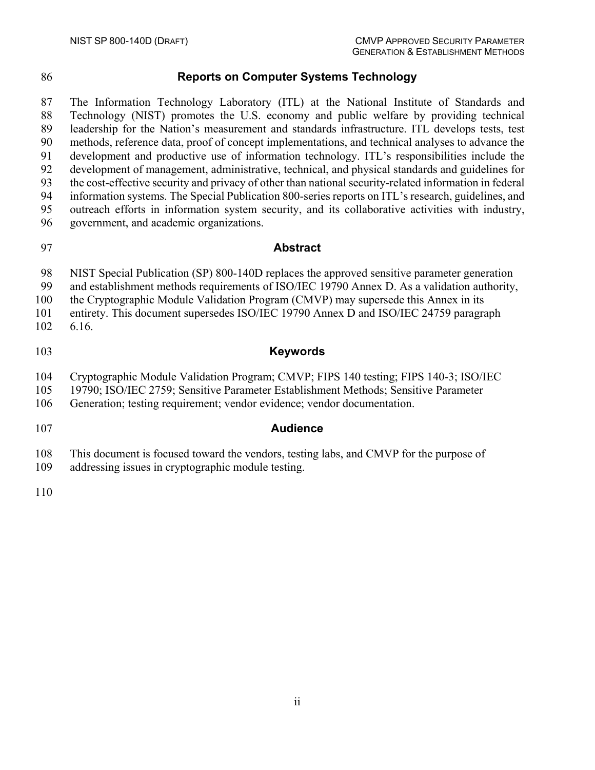#### **Reports on Computer Systems Technology**

 The Information Technology Laboratory (ITL) at the National Institute of Standards and Technology (NIST) promotes the U.S. economy and public welfare by providing technical leadership for the Nation's measurement and standards infrastructure. ITL develops tests, test methods, reference data, proof of concept implementations, and technical analyses to advance the development and productive use of information technology. ITL's responsibilities include the development of management, administrative, technical, and physical standards and guidelines for the cost-effective security and privacy of other than national security-related information in federal information systems. The Special Publication 800-series reports on ITL's research, guidelines, and outreach efforts in information system security, and its collaborative activities with industry, government, and academic organizations.

#### **Abstract**

NIST Special Publication (SP) 800-140D replaces the approved sensitive parameter generation

and establishment methods requirements of ISO/IEC 19790 Annex D. As a validation authority,

the Cryptographic Module Validation Program (CMVP) may supersede this Annex in its

 entirety. This document supersedes ISO/IEC 19790 Annex D and ISO/IEC 24759 paragraph 6.16.

#### **Keywords**

Cryptographic Module Validation Program; CMVP; FIPS 140 testing; FIPS 140-3; ISO/IEC

19790; ISO/IEC 2759; Sensitive Parameter Establishment Methods; Sensitive Parameter

Generation; testing requirement; vendor evidence; vendor documentation.

#### **Audience**

This document is focused toward the vendors, testing labs, and CMVP for the purpose of

addressing issues in cryptographic module testing.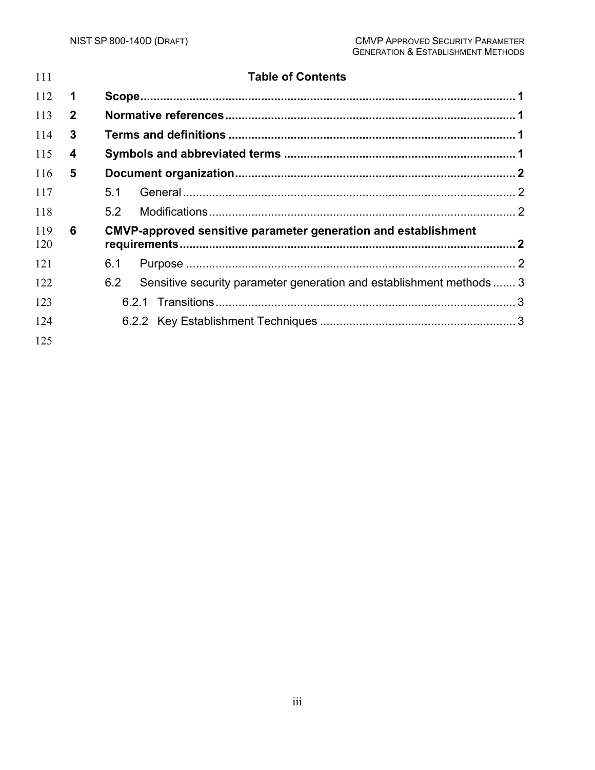| 111        |              | <b>Table of Contents</b>                                                    |  |
|------------|--------------|-----------------------------------------------------------------------------|--|
| 112        | 1            |                                                                             |  |
| 113        | $\mathbf{2}$ |                                                                             |  |
| 114        | 3            |                                                                             |  |
| 115        | 4            |                                                                             |  |
| 116        | 5            |                                                                             |  |
| 117        |              | 5.1                                                                         |  |
| 118        |              | 5.2                                                                         |  |
| 119<br>120 | 6            | <b>CMVP-approved sensitive parameter generation and establishment</b>       |  |
| 121        |              | 6.1                                                                         |  |
| 122        |              | Sensitive security parameter generation and establishment methods  3<br>6.2 |  |
| 123        |              |                                                                             |  |
| 124        |              |                                                                             |  |
| 125        |              |                                                                             |  |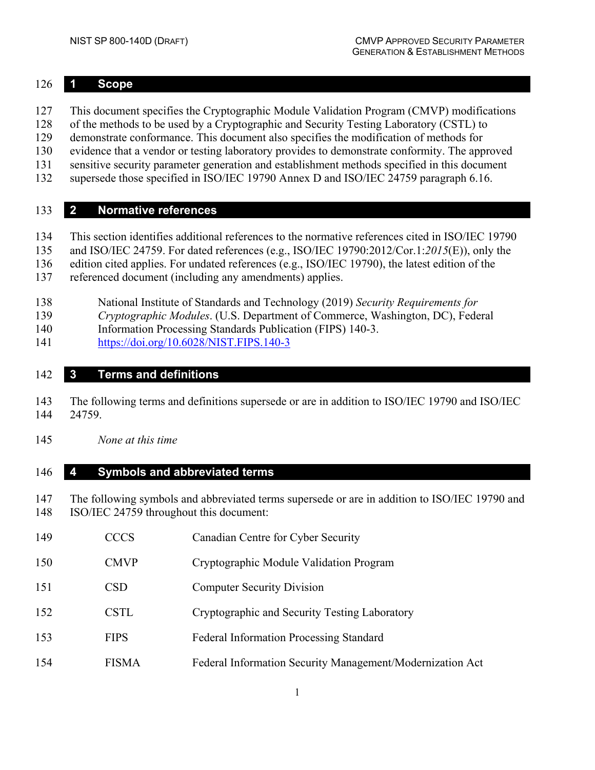#### <span id="page-6-0"></span>**1 Scope**

- This document specifies the Cryptographic Module Validation Program (CMVP) modifications
- of the methods to be used by a Cryptographic and Security Testing Laboratory (CSTL) to
- demonstrate conformance. This document also specifies the modification of methods for
- evidence that a vendor or testing laboratory provides to demonstrate conformity. The approved
- sensitive security parameter generation and establishment methods specified in this document
- supersede those specified in ISO/IEC 19790 Annex D and ISO/IEC 24759 paragraph 6.16.

## <span id="page-6-1"></span>**2 Normative references**

- This section identifies additional references to the normative references cited in ISO/IEC 19790
- and ISO/IEC 24759. For dated references (e.g., ISO/IEC 19790:2012/Cor.1:*2015*(E)), only the
- edition cited applies. For undated references (e.g., ISO/IEC 19790), the latest edition of the
- referenced document (including any amendments) applies.
- National Institute of Standards and Technology (2019) *Security Requirements for*
- *Cryptographic Modules*. (U.S. Department of Commerce, Washington, DC), Federal
- Information Processing Standards Publication (FIPS) 140-3.
- <https://doi.org/10.6028/NIST.FIPS.140-3>

#### <span id="page-6-2"></span>**3 Terms and definitions**

- The following terms and definitions supersede or are in addition to ISO/IEC 19790 and ISO/IEC 24759.
- *None at this time*

#### <span id="page-6-3"></span>**4 Symbols and abbreviated terms**

- The following symbols and abbreviated terms supersede or are in addition to ISO/IEC 19790 and ISO/IEC 24759 throughout this document:
- CCCS Canadian Centre for Cyber Security
- CMVP Cryptographic Module Validation Program
- CSD Computer Security Division
- CSTL Cryptographic and Security Testing Laboratory
- FIPS Federal Information Processing Standard
- FISMA Federal Information Security Management/Modernization Act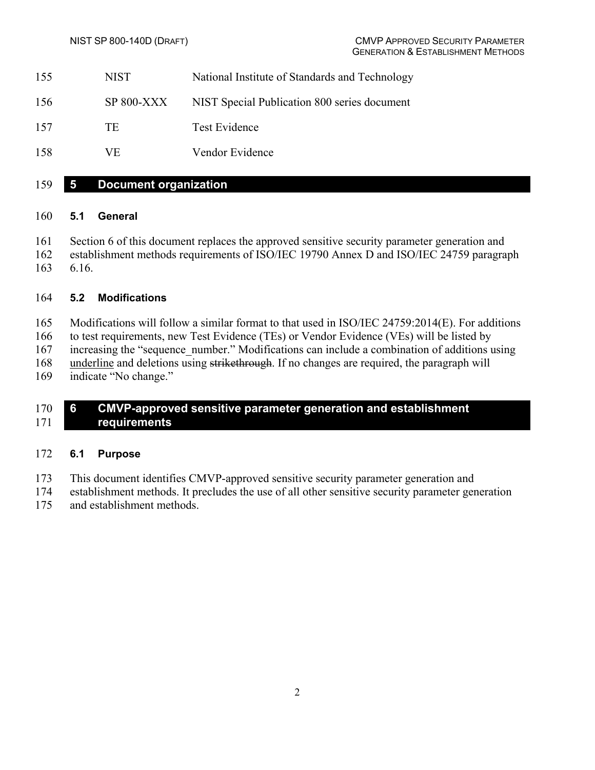- NIST National Institute of Standards and Technology
- SP 800-XXX NIST Special Publication 800 series document
- 157 TE Test Evidence
- VE Vendor Evidence

#### <span id="page-7-0"></span>**5 Document organization**

#### <span id="page-7-1"></span>**5.1 General**

- Section 6 of this document replaces the approved sensitive security parameter generation and establishment methods requirements of ISO/IEC 19790 Annex D and ISO/IEC 24759 paragraph
- 6.16.

#### <span id="page-7-2"></span>**5.2 Modifications**

 Modifications will follow a similar format to that used in ISO/IEC 24759:2014(E). For additions 166 to test requirements, new Test Evidence (TEs) or Vendor Evidence (VEs) will be listed by increasing the "sequence\_number." Modifications can include a combination of additions using 168 underline and deletions using strikethrough. If no changes are required, the paragraph will indicate "No change."

#### <span id="page-7-3"></span> **6 CMVP-approved sensitive parameter generation and establishment requirements**

#### <span id="page-7-4"></span>**6.1 Purpose**

- This document identifies CMVP-approved sensitive security parameter generation and
- establishment methods. It precludes the use of all other sensitive security parameter generation
- and establishment methods.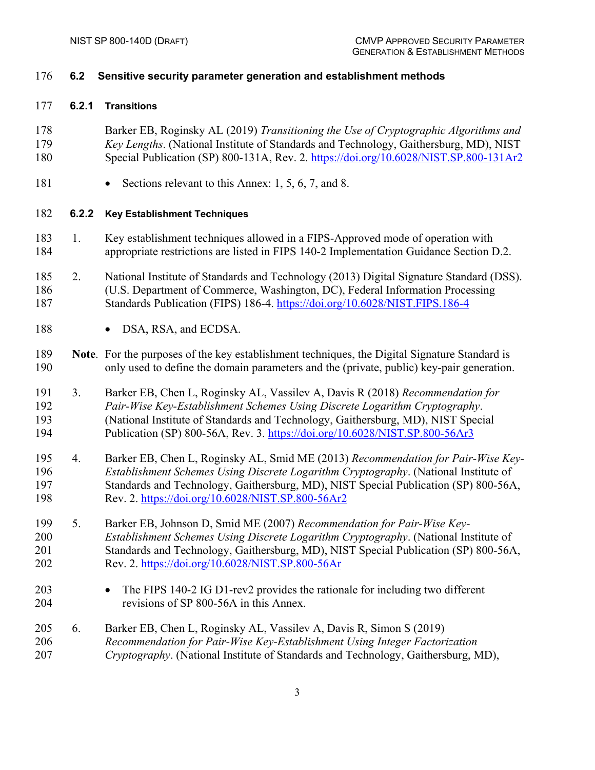<span id="page-8-2"></span><span id="page-8-1"></span><span id="page-8-0"></span>

| 176                      | 6.2   | Sensitive security parameter generation and establishment methods                                                                                                                                                                                                                                                              |
|--------------------------|-------|--------------------------------------------------------------------------------------------------------------------------------------------------------------------------------------------------------------------------------------------------------------------------------------------------------------------------------|
| 177                      | 6.2.1 | <b>Transitions</b>                                                                                                                                                                                                                                                                                                             |
| 178<br>179<br>180        |       | Barker EB, Roginsky AL (2019) Transitioning the Use of Cryptographic Algorithms and<br>Key Lengths. (National Institute of Standards and Technology, Gaithersburg, MD), NIST<br>Special Publication (SP) 800-131A, Rev. 2. https://doi.org/10.6028/NIST.SP.800-131Ar2                                                          |
| 181                      |       | Sections relevant to this Annex: 1, 5, 6, 7, and 8.                                                                                                                                                                                                                                                                            |
| 182                      | 6.2.2 | <b>Key Establishment Techniques</b>                                                                                                                                                                                                                                                                                            |
| 183<br>184               | 1.    | Key establishment techniques allowed in a FIPS-Approved mode of operation with<br>appropriate restrictions are listed in FIPS 140-2 Implementation Guidance Section D.2.                                                                                                                                                       |
| 185<br>186<br>187        | 2.    | National Institute of Standards and Technology (2013) Digital Signature Standard (DSS).<br>(U.S. Department of Commerce, Washington, DC), Federal Information Processing<br>Standards Publication (FIPS) 186-4. https://doi.org/10.6028/NIST.FIPS.186-4                                                                        |
| 188                      |       | DSA, RSA, and ECDSA.                                                                                                                                                                                                                                                                                                           |
| 189<br>190               |       | Note. For the purposes of the key establishment techniques, the Digital Signature Standard is<br>only used to define the domain parameters and the (private, public) key-pair generation.                                                                                                                                      |
| 191<br>192<br>193<br>194 | 3.    | Barker EB, Chen L, Roginsky AL, Vassilev A, Davis R (2018) Recommendation for<br>Pair-Wise Key-Establishment Schemes Using Discrete Logarithm Cryptography.<br>(National Institute of Standards and Technology, Gaithersburg, MD), NIST Special<br>Publication (SP) 800-56A, Rev. 3. https://doi.org/10.6028/NIST.SP.800-56Ar3 |
| 195<br>196<br>197<br>198 | 4.    | Barker EB, Chen L, Roginsky AL, Smid ME (2013) Recommendation for Pair-Wise Key-<br>Establishment Schemes Using Discrete Logarithm Cryptography. (National Institute of<br>Standards and Technology, Gaithersburg, MD), NIST Special Publication (SP) 800-56A,<br>Rev. 2. https://doi.org/10.6028/NIST.SP.800-56Ar2            |
| 199<br>200<br>201<br>202 | 5.    | Barker EB, Johnson D, Smid ME (2007) Recommendation for Pair-Wise Key-<br>Establishment Schemes Using Discrete Logarithm Cryptography. (National Institute of<br>Standards and Technology, Gaithersburg, MD), NIST Special Publication (SP) 800-56A,<br>Rev. 2. https://doi.org/10.6028/NIST.SP.800-56Ar                       |
| 203<br>204               |       | The FIPS 140-2 IG D1-rev2 provides the rationale for including two different<br>revisions of SP 800-56A in this Annex.                                                                                                                                                                                                         |
| 205<br>206<br>207        | 6.    | Barker EB, Chen L, Roginsky AL, Vassilev A, Davis R, Simon S (2019)<br>Recommendation for Pair-Wise Key-Establishment Using Integer Factorization<br>Cryptography. (National Institute of Standards and Technology, Gaithersburg, MD),                                                                                         |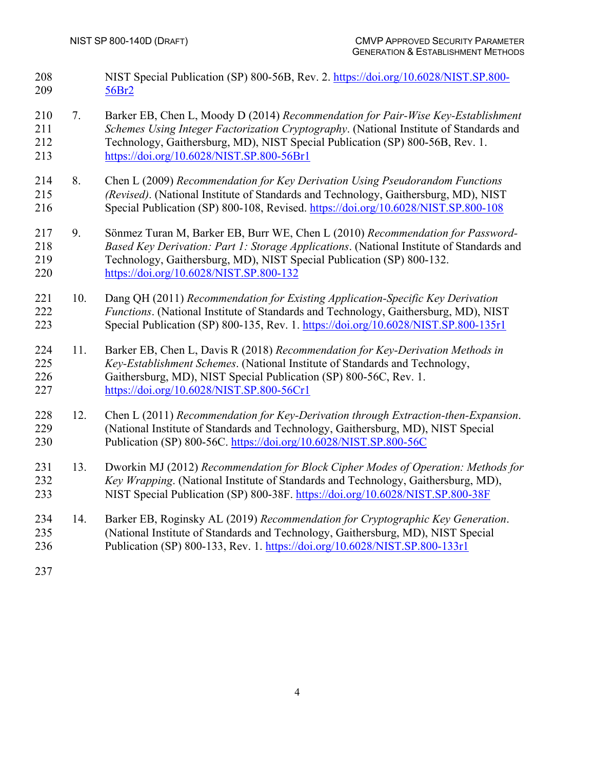- NIST Special Publication (SP) 800-56B, Rev. 2. [https://doi.org/10.6028/NIST.SP.800-](https://doi.org/10.6028/NIST.SP.800-56Br2) [56Br2](https://doi.org/10.6028/NIST.SP.800-56Br2)
- 7. Barker EB, Chen L, Moody D (2014) *Recommendation for Pair-Wise Key-Establishment Schemes Using Integer Factorization Cryptography*. (National Institute of Standards and Technology, Gaithersburg, MD), NIST Special Publication (SP) 800-56B, Rev. 1. <https://doi.org/10.6028/NIST.SP.800-56Br1>
- 8. Chen L (2009) *Recommendation for Key Derivation Using Pseudorandom Functions (Revised)*. (National Institute of Standards and Technology, Gaithersburg, MD), NIST Special Publication (SP) 800-108, Revised.<https://doi.org/10.6028/NIST.SP.800-108>
- 9. Sönmez Turan M, Barker EB, Burr WE, Chen L (2010) *Recommendation for Password- Based Key Derivation: Part 1: Storage Applications*. (National Institute of Standards and Technology, Gaithersburg, MD), NIST Special Publication (SP) 800-132. <https://doi.org/10.6028/NIST.SP.800-132>
- 10. Dang QH (2011) *Recommendation for Existing Application-Specific Key Derivation Functions*. (National Institute of Standards and Technology, Gaithersburg, MD), NIST Special Publication (SP) 800-135, Rev. 1.<https://doi.org/10.6028/NIST.SP.800-135r1>
- 11. Barker EB, Chen L, Davis R (2018) *Recommendation for Key-Derivation Methods in Key-Establishment Schemes*. (National Institute of Standards and Technology, Gaithersburg, MD), NIST Special Publication (SP) 800-56C, Rev. 1. <https://doi.org/10.6028/NIST.SP.800-56Cr1>
- 12. Chen L (2011) *Recommendation for Key-Derivation through Extraction-then-Expansion*. (National Institute of Standards and Technology, Gaithersburg, MD), NIST Special 230 Publication (SP) 800-56C.<https://doi.org/10.6028/NIST.SP.800-56C>
- 13. Dworkin MJ (2012) *Recommendation for Block Cipher Modes of Operation: Methods for Key Wrapping*. (National Institute of Standards and Technology, Gaithersburg, MD), NIST Special Publication (SP) 800-38F.<https://doi.org/10.6028/NIST.SP.800-38F>
- 14. Barker EB, Roginsky AL (2019) *Recommendation for Cryptographic Key Generation*. (National Institute of Standards and Technology, Gaithersburg, MD), NIST Special Publication (SP) 800-133, Rev. 1.<https://doi.org/10.6028/NIST.SP.800-133r1>
-